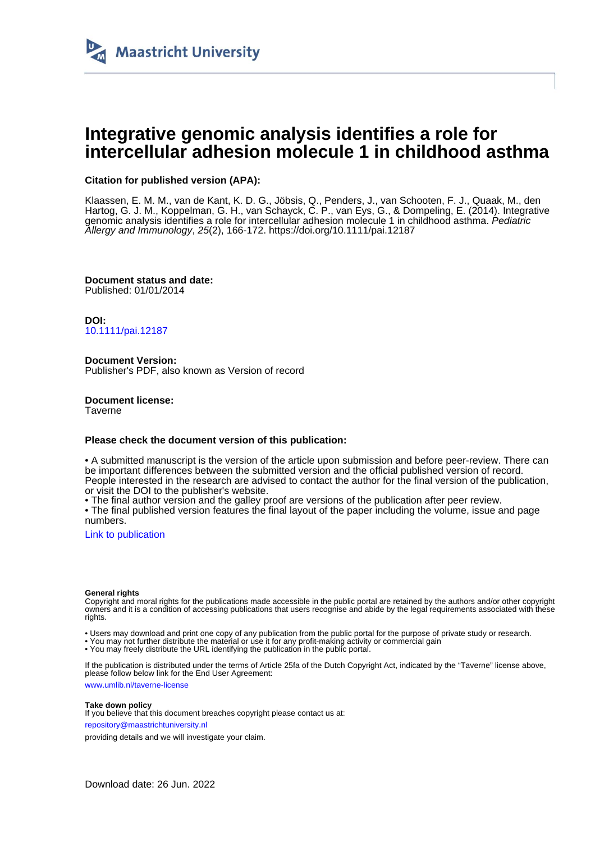

# **Integrative genomic analysis identifies a role for intercellular adhesion molecule 1 in childhood asthma**

# **Citation for published version (APA):**

Klaassen, E. M. M., van de Kant, K. D. G., Jöbsis, Q., Penders, J., van Schooten, F. J., Quaak, M., den Hartog, G. J. M., Koppelman, G. H., van Schayck, C. P., van Eys, G., & Dompeling, E. (2014). Integrative genomic analysis identifies a role for intercellular adhesion molecule 1 in childhood asthma. Pediatric Allergy and Immunology, 25(2), 166-172. <https://doi.org/10.1111/pai.12187>

**Document status and date:** Published: 01/01/2014

**DOI:** [10.1111/pai.12187](https://doi.org/10.1111/pai.12187)

**Document Version:** Publisher's PDF, also known as Version of record

**Document license: Taverne** 

# **Please check the document version of this publication:**

• A submitted manuscript is the version of the article upon submission and before peer-review. There can be important differences between the submitted version and the official published version of record. People interested in the research are advised to contact the author for the final version of the publication, or visit the DOI to the publisher's website.

• The final author version and the galley proof are versions of the publication after peer review.

• The final published version features the final layout of the paper including the volume, issue and page numbers.

[Link to publication](https://cris.maastrichtuniversity.nl/en/publications/21c96a77-8557-4dbc-8014-e78db4a36496)

# **General rights**

Copyright and moral rights for the publications made accessible in the public portal are retained by the authors and/or other copyright owners and it is a condition of accessing publications that users recognise and abide by the legal requirements associated with these rights.

• Users may download and print one copy of any publication from the public portal for the purpose of private study or research.

• You may not further distribute the material or use it for any profit-making activity or commercial gain

• You may freely distribute the URL identifying the publication in the public portal.

If the publication is distributed under the terms of Article 25fa of the Dutch Copyright Act, indicated by the "Taverne" license above, please follow below link for the End User Agreement:

www.umlib.nl/taverne-license

# **Take down policy**

If you believe that this document breaches copyright please contact us at: repository@maastrichtuniversity.nl

providing details and we will investigate your claim.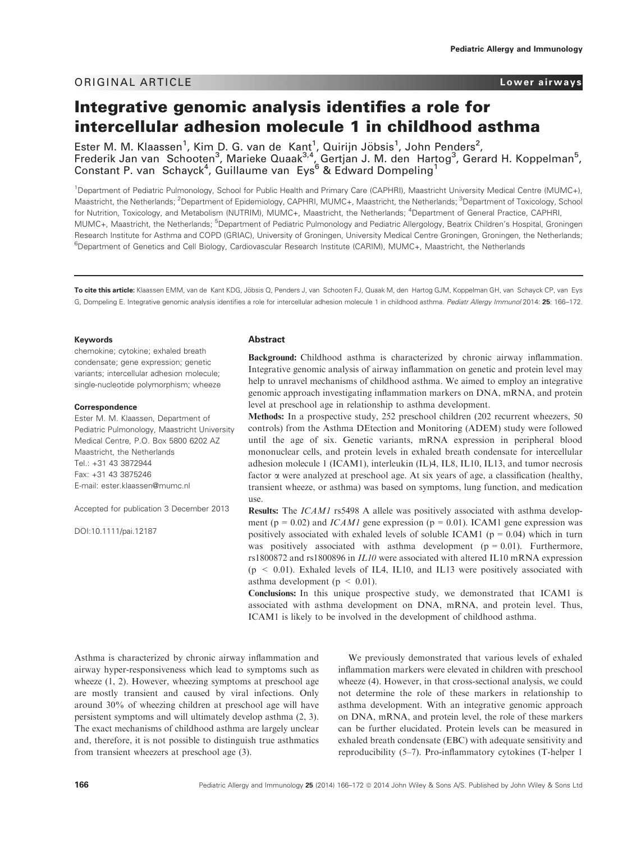# ORIGINAL ARTICLE Lower airways

# Integrative genomic analysis identifies a role for intercellular adhesion molecule 1 in childhood asthma

Ester M. M. Klaassen<sup>1</sup>, Kim D. G. van de Kant<sup>1</sup>, Quirijn Jöbsis<sup>1</sup>, John Penders<sup>2</sup>, Frederik Jan van Schooten<sup>3</sup>, Marieke Quaak<sup>3,4</sup>, Gertjan J. M. den Hartog<sup>3</sup>, Gerard H. Koppelman<sup>5</sup>, Constant P. van Schayck<sup>4</sup>, Guillaume van Eys<sup>6</sup> & Edward Dompeling<sup>1</sup>

1 Department of Pediatric Pulmonology, School for Public Health and Primary Care (CAPHRI), Maastricht University Medical Centre (MUMC+), Maastricht, the Netherlands; <sup>2</sup>Department of Epidemiology, CAPHRI, MUMC+, Maastricht, the Netherlands; <sup>3</sup>Department of Toxicology, School for Nutrition, Toxicology, and Metabolism (NUTRIM), MUMC+, Maastricht, the Netherlands; <sup>4</sup>Department of General Practice, CAPHRI, MUMC+, Maastricht, the Netherlands; <sup>5</sup>Department of Pediatric Pulmonology and Pediatric Allergology, Beatrix Children's Hospital, Groningen Research Institute for Asthma and COPD (GRIAC), University of Groningen, University Medical Centre Groningen, Groningen, the Netherlands; 6 Department of Genetics and Cell Biology, Cardiovascular Research Institute (CARIM), MUMC+, Maastricht, the Netherlands

To cite this article: Klaassen EMM, van de Kant KDG, Jöbsis Q, Penders J, van Schooten FJ, Quaak M, den Hartog GJM, Koppelman GH, van Schayck CP, van Eys G, Dompeling E. Integrative genomic analysis identifies a role for intercellular adhesion molecule 1 in childhood asthma. Pediatr Allergy Immunol 2014: 25: 166-172.

### Keywords

chemokine; cytokine; exhaled breath condensate; gene expression; genetic variants; intercellular adhesion molecule; single-nucleotide polymorphism; wheeze

#### Correspondence

Ester M. M. Klaassen, Department of Pediatric Pulmonology, Maastricht University Medical Centre, P.O. Box 5800 6202 AZ Maastricht, the Netherlands Tel.: +31 43 3872944 Fax: +31 43 3875246 E-mail: ester.klaassen@mumc.nl

Accepted for publication 3 December 2013

DOI:10.1111/pai.12187

# Abstract

Background: Childhood asthma is characterized by chronic airway inflammation. Integrative genomic analysis of airway inflammation on genetic and protein level may help to unravel mechanisms of childhood asthma. We aimed to employ an integrative genomic approach investigating inflammation markers on DNA, mRNA, and protein level at preschool age in relationship to asthma development.

Methods: In a prospective study, 252 preschool children (202 recurrent wheezers, 50 controls) from the Asthma DEtection and Monitoring (ADEM) study were followed until the age of six. Genetic variants, mRNA expression in peripheral blood mononuclear cells, and protein levels in exhaled breath condensate for intercellular adhesion molecule 1 (ICAM1), interleukin (IL)4, IL8, IL10, IL13, and tumor necrosis factor a were analyzed at preschool age. At six years of age, a classification (healthy, transient wheeze, or asthma) was based on symptoms, lung function, and medication use.

Results: The ICAM1 rs5498 A allele was positively associated with asthma development ( $p = 0.02$ ) and *ICAM1* gene expression ( $p = 0.01$ ). ICAM1 gene expression was positively associated with exhaled levels of soluble ICAM1 ( $p = 0.04$ ) which in turn was positively associated with asthma development  $(p = 0.01)$ . Furthermore, rs1800872 and rs1800896 in IL10 were associated with altered IL10 mRNA expression  $(p \le 0.01)$ . Exhaled levels of IL4, IL10, and IL13 were positively associated with asthma development ( $p < 0.01$ ).

Conclusions: In this unique prospective study, we demonstrated that ICAM1 is associated with asthma development on DNA, mRNA, and protein level. Thus, ICAM1 is likely to be involved in the development of childhood asthma.

Asthma is characterized by chronic airway inflammation and airway hyper-responsiveness which lead to symptoms such as wheeze (1, 2). However, wheezing symptoms at preschool age are mostly transient and caused by viral infections. Only around 30% of wheezing children at preschool age will have persistent symptoms and will ultimately develop asthma (2, 3). The exact mechanisms of childhood asthma are largely unclear and, therefore, it is not possible to distinguish true asthmatics from transient wheezers at preschool age (3).

We previously demonstrated that various levels of exhaled inflammation markers were elevated in children with preschool wheeze (4). However, in that cross-sectional analysis, we could not determine the role of these markers in relationship to asthma development. With an integrative genomic approach on DNA, mRNA, and protein level, the role of these markers can be further elucidated. Protein levels can be measured in exhaled breath condensate (EBC) with adequate sensitivity and reproducibility (5–7). Pro-inflammatory cytokines (T-helper 1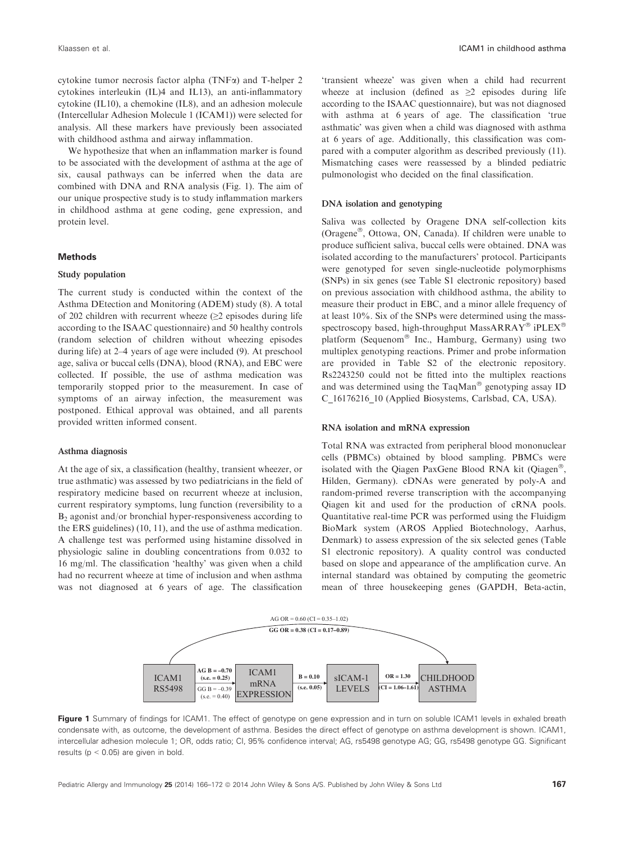cytokine tumor necrosis factor alpha (TNFa) and T-helper 2 cytokines interleukin (IL)4 and IL13), an anti-inflammatory cytokine (IL10), a chemokine (IL8), and an adhesion molecule (Intercellular Adhesion Molecule 1 (ICAM1)) were selected for analysis. All these markers have previously been associated with childhood asthma and airway inflammation.

We hypothesize that when an inflammation marker is found to be associated with the development of asthma at the age of six, causal pathways can be inferred when the data are combined with DNA and RNA analysis (Fig. 1). The aim of our unique prospective study is to study inflammation markers in childhood asthma at gene coding, gene expression, and protein level.

#### **Methods**

## Study population

The current study is conducted within the context of the Asthma DEtection and Monitoring (ADEM) study (8). A total of 202 children with recurrent wheeze  $(\geq 2)$  episodes during life according to the ISAAC questionnaire) and 50 healthy controls (random selection of children without wheezing episodes during life) at 2–4 years of age were included (9). At preschool age, saliva or buccal cells (DNA), blood (RNA), and EBC were collected. If possible, the use of asthma medication was temporarily stopped prior to the measurement. In case of symptoms of an airway infection, the measurement was postponed. Ethical approval was obtained, and all parents provided written informed consent.

#### Asthma diagnosis

At the age of six, a classification (healthy, transient wheezer, or true asthmatic) was assessed by two pediatricians in the field of respiratory medicine based on recurrent wheeze at inclusion, current respiratory symptoms, lung function (reversibility to a B2 agonist and/or bronchial hyper-responsiveness according to the ERS guidelines) (10, 11), and the use of asthma medication. A challenge test was performed using histamine dissolved in physiologic saline in doubling concentrations from 0.032 to 16 mg/ml. The classification 'healthy' was given when a child had no recurrent wheeze at time of inclusion and when asthma was not diagnosed at 6 years of age. The classification 'transient wheeze' was given when a child had recurrent wheeze at inclusion (defined as  $\geq 2$  episodes during life according to the ISAAC questionnaire), but was not diagnosed with asthma at 6 years of age. The classification 'true asthmatic' was given when a child was diagnosed with asthma at 6 years of age. Additionally, this classification was compared with a computer algorithm as described previously (11). Mismatching cases were reassessed by a blinded pediatric pulmonologist who decided on the final classification.

### DNA isolation and genotyping

Saliva was collected by Oragene DNA self-collection kits (Oragene®, Ottowa, ON, Canada). If children were unable to produce sufficient saliva, buccal cells were obtained. DNA was isolated according to the manufacturers' protocol. Participants were genotyped for seven single-nucleotide polymorphisms (SNPs) in six genes (see Table S1 electronic repository) based on previous association with childhood asthma, the ability to measure their product in EBC, and a minor allele frequency of at least 10%. Six of the SNPs were determined using the massspectroscopy based, high-throughput MassARRAY® iPLEX® platform (Sequenom® Inc., Hamburg, Germany) using two multiplex genotyping reactions. Primer and probe information are provided in Table S2 of the electronic repository. Rs2243250 could not be fitted into the multiplex reactions and was determined using the TaqMan® genotyping assay ID C\_16176216\_10 (Applied Biosystems, Carlsbad, CA, USA).

## RNA isolation and mRNA expression

Total RNA was extracted from peripheral blood mononuclear cells (PBMCs) obtained by blood sampling. PBMCs were isolated with the Qiagen PaxGene Blood RNA kit (Qiagen®, Hilden, Germany). cDNAs were generated by poly-A and random-primed reverse transcription with the accompanying Qiagen kit and used for the production of cRNA pools. Quantitative real-time PCR was performed using the Fluidigm BioMark system (AROS Applied Biotechnology, Aarhus, Denmark) to assess expression of the six selected genes (Table S1 electronic repository). A quality control was conducted based on slope and appearance of the amplification curve. An internal standard was obtained by computing the geometric mean of three housekeeping genes (GAPDH, Beta-actin,



Figure 1 Summary of findings for ICAM1. The effect of genotype on gene expression and in turn on soluble ICAM1 levels in exhaled breath condensate with, as outcome, the development of asthma. Besides the direct effect of genotype on asthma development is shown. ICAM1, intercellular adhesion molecule 1; OR, odds ratio; CI, 95% confidence interval; AG, rs5498 genotype AG; GG, rs5498 genotype GG. Significant results ( $p < 0.05$ ) are given in bold.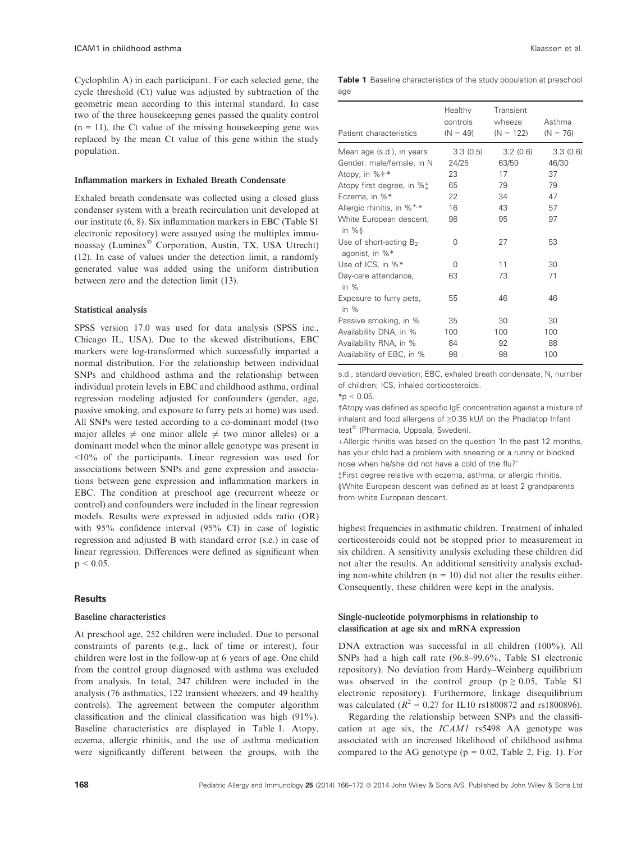Cyclophilin A) in each participant. For each selected gene, the cycle threshold (Ct) value was adjusted by subtraction of the geometric mean according to this internal standard. In case two of the three housekeeping genes passed the quality control  $(n = 11)$ , the Ct value of the missing house keeping gene was replaced by the mean Ct value of this gene within the study population.

#### Inflammation markers in Exhaled Breath Condensate

Exhaled breath condensate was collected using a closed glass condenser system with a breath recirculation unit developed at our institute (6, 8). Six inflammation markers in EBC (Table S1 electronic repository) were assayed using the multiplex immunoassay (Luminex® Corporation, Austin, TX, USA Utrecht) (12). In case of values under the detection limit, a randomly generated value was added using the uniform distribution between zero and the detection limit (13).

#### Statistical analysis

SPSS version 17.0 was used for data analysis (SPSS inc., Chicago IL, USA). Due to the skewed distributions, EBC markers were log-transformed which successfully imparted a normal distribution. For the relationship between individual SNPs and childhood asthma and the relationship between individual protein levels in EBC and childhood asthma, ordinal regression modeling adjusted for confounders (gender, age, passive smoking, and exposure to furry pets at home) was used. All SNPs were tested according to a co-dominant model (two major alleles  $\neq$  one minor allele  $\neq$  two minor alleles) or a dominant model when the minor allele genotype was present in <10% of the participants. Linear regression was used for associations between SNPs and gene expression and associations between gene expression and inflammation markers in EBC. The condition at preschool age (recurrent wheeze or control) and confounders were included in the linear regression models. Results were expressed in adjusted odds ratio (OR) with 95% confidence interval (95% CI) in case of logistic regression and adjusted B with standard error (s.e.) in case of linear regression. Differences were defined as significant when  $p < 0.05$ .

# **Results**

## Baseline characteristics

At preschool age, 252 children were included. Due to personal constraints of parents (e.g., lack of time or interest), four children were lost in the follow-up at 6 years of age. One child from the control group diagnosed with asthma was excluded from analysis. In total, 247 children were included in the analysis (76 asthmatics, 122 transient wheezers, and 49 healthy controls). The agreement between the computer algorithm classification and the clinical classification was high (91%). Baseline characteristics are displayed in Table 1. Atopy, eczema, allergic rhinitis, and the use of asthma medication were significantly different between the groups, with the

|     |  | <b>Table 1</b> Baseline characteristics of the study population at preschool |  |  |
|-----|--|------------------------------------------------------------------------------|--|--|
| age |  |                                                                              |  |  |

| Patient characteristics                       | Healthy<br>controls<br>$(N = 49)$ | Transient<br>wheeze<br>$(N = 122)$ | Asthma<br>$(N = 76)$ |
|-----------------------------------------------|-----------------------------------|------------------------------------|----------------------|
| Mean age (s.d.), in years                     | 3.3(0.5)                          | 3.2(0.6)                           | 3.3(0.6)             |
| Gender: male/female, in N                     | 24/25                             | 63/59                              | 46/30                |
| Atopy, in %† <sup>*</sup>                     | 23                                | 17                                 | 37                   |
| Atopy first degree, in %‡                     | 65                                | 79                                 | 79                   |
| Eczema, in %*                                 | 22                                | 34                                 | 47                   |
| Allergic rhinitis, in % <sup>+,*</sup>        | 16                                | 43                                 | 57                   |
| White European descent,<br>in % $\frac{8}{3}$ | 98                                | 95                                 | 97                   |
| Use of short-acting $B_2$<br>agonist, in %*   | 0                                 | 27                                 | 53                   |
| Use of ICS, in %*                             | 0                                 | 11                                 | 30                   |
| Day-care attendance,<br>in $%$                | 63                                | 73                                 | 71                   |
| Exposure to furry pets,<br>in $%$             | 55                                | 46                                 | 46                   |
| Passive smoking, in %                         | 35                                | 30                                 | 30                   |
| Availability DNA, in %                        | 100                               | 100                                | 100                  |
| Availability RNA, in %                        | 84                                | 92                                 | 88                   |
| Availability of EBC, in %                     | 98                                | 98                                 | 100                  |

s.d., standard deviation; EBC, exhaled breath condensate; N, number of children; ICS, inhaled corticosteroids.

 $*p < 0.05$ .

†Atopy was defined as specific IgE concentration against a mixture of inhalant and food allergens of ≥0.35 kU/l on the Phadiatop Infant test<sup>®</sup> (Pharmacia, Uppsala, Sweden).

+Allergic rhinitis was based on the question 'In the past 12 months, has your child had a problem with sneezing or a runny or blocked nose when he/she did not have a cold of the flu?'

‡First degree relative with eczema, asthma, or allergic rhinitis. §White European descent was defined as at least 2 grandparents from white European descent.

highest frequencies in asthmatic children. Treatment of inhaled corticosteroids could not be stopped prior to measurement in six children. A sensitivity analysis excluding these children did not alter the results. An additional sensitivity analysis excluding non-white children  $(n = 10)$  did not alter the results either. Consequently, these children were kept in the analysis.

# Single-nucleotide polymorphisms in relationship to classification at age six and mRNA expression

DNA extraction was successful in all children (100%). All SNPs had a high call rate (96.8–99.6%, Table S1 electronic repository). No deviation from Hardy–Weinberg equilibrium was observed in the control group ( $p \ge 0.05$ , Table S1 electronic repository). Furthermore, linkage disequilibrium was calculated ( $R^2 = 0.27$  for IL10 rs1800872 and rs1800896).

Regarding the relationship between SNPs and the classification at age six, the ICAM1 rs5498 AA genotype was associated with an increased likelihood of childhood asthma compared to the AG genotype ( $p = 0.02$ , Table 2, Fig. 1). For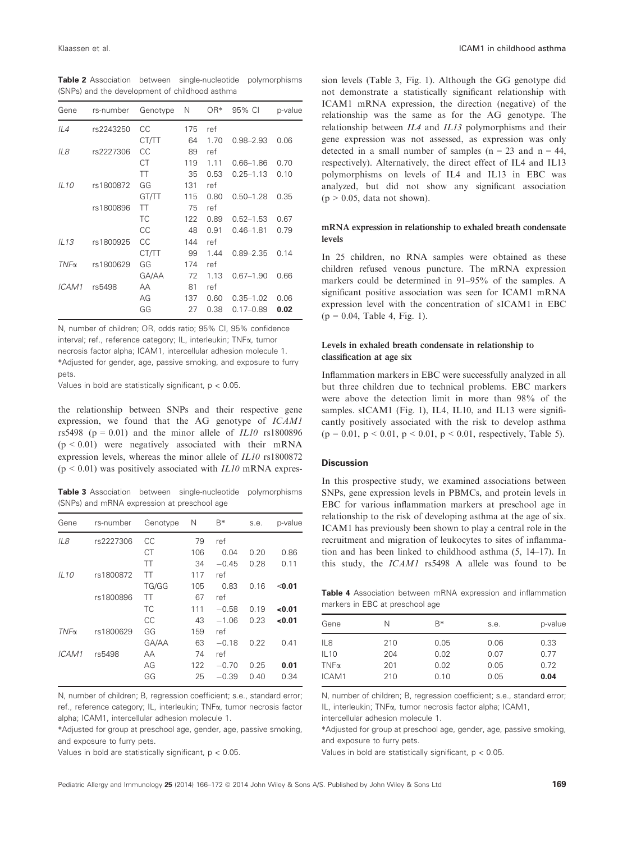Table 2 Association between single-nucleotide polymorphisms (SNPs) and the development of childhood asthma

| Gene             | rs-number | Genotype | N   | OR*  | 95% CI        | p-value |
|------------------|-----------|----------|-----|------|---------------|---------|
| IL4              | rs2243250 | CС       | 175 | ref  |               |         |
|                  |           | CT/TT    | 64  | 1.70 | $0.98 - 2.93$ | 0.06    |
| IL8              | rs2227306 | CС       | 89  | ref  |               |         |
|                  |           | СT       | 119 | 1.11 | $0.66 - 1.86$ | 0.70    |
|                  |           | TT       | 35  | 0.53 | $0.25 - 1.13$ | 0.10    |
| IL10             | rs1800872 | GG       | 131 | ref  |               |         |
|                  |           | GT/TT    | 115 | 0.80 | $0.50 - 1.28$ | 0.35    |
|                  | rs1800896 | TT       | 75  | ref  |               |         |
|                  |           | ТC       | 122 | 0.89 | $0.52 - 1.53$ | 0.67    |
|                  |           | CС       | 48  | 0.91 | $0.46 - 1.81$ | 0.79    |
| IL13             | rs1800925 | СC       | 144 | ref  |               |         |
|                  |           | CT/TT    | 99  | 1.44 | $0.89 - 2.35$ | 0.14    |
| TN <sub>Fα</sub> | rs1800629 | GG       | 174 | ref  |               |         |
|                  |           | GA/AA    | 72  | 1.13 | $0.67 - 1.90$ | 0.66    |
| ICAM1            | rs5498    | AA       | 81  | ref  |               |         |
|                  |           | AG       | 137 | 0.60 | $0.35 - 1.02$ | 0.06    |
|                  |           | GG       | 27  | 0.38 | $0.17 - 0.89$ | 0.02    |

N, number of children; OR, odds ratio; 95% CI, 95% confidence interval; ref., reference category; IL, interleukin; TNFa, tumor necrosis factor alpha; ICAM1, intercellular adhesion molecule 1. \*Adjusted for gender, age, passive smoking, and exposure to furry pets.

Values in bold are statistically significant,  $p < 0.05$ .

the relationship between SNPs and their respective gene expression, we found that the AG genotype of ICAM1 rs5498 ( $p = 0.01$ ) and the minor allele of  $ILI0$  rs1800896  $(p < 0.01)$  were negatively associated with their mRNA expression levels, whereas the minor allele of IL10 rs1800872  $(p \le 0.01)$  was positively associated with *IL10* mRNA expres-

Table 3 Association between single-nucleotide polymorphisms (SNPs) and mRNA expression at preschool age

| Gene        | rs-number | Genotype  | Ν   | B*      | s.e. | p-value |
|-------------|-----------|-----------|-----|---------|------|---------|
| IL8         | rs2227306 | CC        | 79  | ref     |      |         |
|             |           | СT        | 106 | 0.04    | 0.20 | 0.86    |
|             |           | TT        | 34  | $-0.45$ | 0.28 | 0.11    |
| IL10        | rs1800872 | TT        | 117 | ref     |      |         |
|             |           | TG/GG     | 105 | 0.83    | 0.16 | < 0.01  |
|             | rs1800896 | TT        | 67  | ref     |      |         |
|             |           | <b>TC</b> | 111 | $-0.58$ | 0.19 | <0.01   |
|             |           | CC        | 43  | $-1.06$ | 0.23 | 0.01    |
| $TNF\alpha$ | rs1800629 | GG        | 159 | ref     |      |         |
|             |           | GA/AA     | 63  | $-0.18$ | 0.22 | 0.41    |
| ICAM1       | rs5498    | AA        | 74  | ref     |      |         |
|             |           | AG        | 122 | $-0.70$ | 0.25 | 0.01    |
|             |           | GG        | 25  | $-0.39$ | 0.40 | 0.34    |
|             |           |           |     |         |      |         |

N, number of children; B, regression coefficient; s.e., standard error; ref., reference category; IL, interleukin; TNFa, tumor necrosis factor alpha; ICAM1, intercellular adhesion molecule 1.

\*Adjusted for group at preschool age, gender, age, passive smoking, and exposure to furry pets.

Values in bold are statistically significant,  $p < 0.05$ .

sion levels (Table 3, Fig. 1). Although the GG genotype did not demonstrate a statistically significant relationship with ICAM1 mRNA expression, the direction (negative) of the relationship was the same as for the AG genotype. The relationship between IL4 and IL13 polymorphisms and their gene expression was not assessed, as expression was only detected in a small number of samples ( $n = 23$  and  $n = 44$ , respectively). Alternatively, the direct effect of IL4 and IL13 polymorphisms on levels of IL4 and IL13 in EBC was analyzed, but did not show any significant association  $(p > 0.05, data not shown).$ 

# mRNA expression in relationship to exhaled breath condensate levels

In 25 children, no RNA samples were obtained as these children refused venous puncture. The mRNA expression markers could be determined in 91–95% of the samples. A significant positive association was seen for ICAM1 mRNA expression level with the concentration of sICAM1 in EBC  $(p = 0.04,$  Table 4, Fig. 1).

# Levels in exhaled breath condensate in relationship to classification at age six

Inflammation markers in EBC were successfully analyzed in all but three children due to technical problems. EBC markers were above the detection limit in more than 98% of the samples. sICAM1 (Fig. 1), IL4, IL10, and IL13 were significantly positively associated with the risk to develop asthma  $(p = 0.01, p < 0.01, p < 0.01, p < 0.01, respectively, Table 5).$ 

# **Discussion**

In this prospective study, we examined associations between SNPs, gene expression levels in PBMCs, and protein levels in EBC for various inflammation markers at preschool age in relationship to the risk of developing asthma at the age of six. ICAM1 has previously been shown to play a central role in the recruitment and migration of leukocytes to sites of inflammation and has been linked to childhood asthma (5, 14–17). In this study, the ICAM1 rs5498 A allele was found to be

Table 4 Association between mRNA expression and inflammation markers in EBC at preschool age

| Gene        | Ν   | $R*$ | s.e. | p-value |
|-------------|-----|------|------|---------|
| IL8         | 210 | 0.05 | 0.06 | 0.33    |
| IL10        | 204 | 0.02 | 0.07 | 0.77    |
| $TNF\alpha$ | 201 | 0.02 | 0.05 | 0.72    |
| ICAM1       | 210 | 0.10 | 0.05 | 0.04    |

N, number of children; B, regression coefficient; s.e., standard error; IL, interleukin; TNFa, tumor necrosis factor alpha; ICAM1,

intercellular adhesion molecule 1.

\*Adjusted for group at preschool age, gender, age, passive smoking, and exposure to furry pets.

Values in bold are statistically significant,  $p < 0.05$ .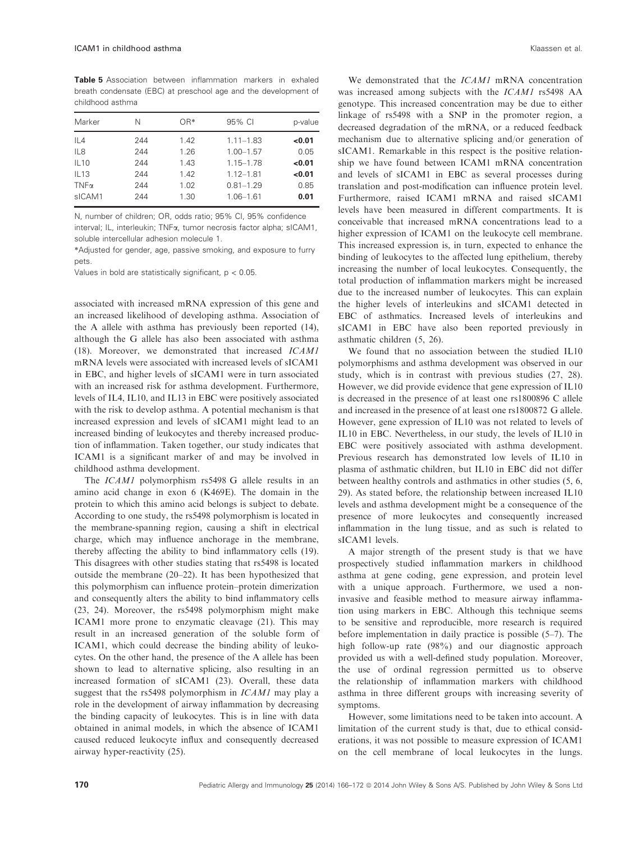Table 5 Association between inflammation markers in exhaled breath condensate (EBC) at preschool age and the development of childhood asthma

| Marker      | N   | OR*  | 95% CI        | p-value |
|-------------|-----|------|---------------|---------|
| IL4         | 244 | 1.42 | $1.11 - 1.83$ | <0.01   |
| IL8         | 244 | 1.26 | $1.00 - 1.57$ | 0.05    |
| <b>IL10</b> | 244 | 1.43 | $1.15 - 1.78$ | < 0.01  |
| IL13        | 244 | 1.42 | $1.12 - 1.81$ | < 0.01  |
| $TNF\alpha$ | 244 | 1.02 | $0.81 - 1.29$ | 0.85    |
| sICAM1      | 244 | 1.30 | $1.06 - 1.61$ | 0.01    |

N, number of children; OR, odds ratio; 95% CI, 95% confidence

interval; IL, interleukin; TNFa, tumor necrosis factor alpha; sICAM1, soluble intercellular adhesion molecule 1.

\*Adjusted for gender, age, passive smoking, and exposure to furry pets.

Values in bold are statistically significant,  $p < 0.05$ .

associated with increased mRNA expression of this gene and an increased likelihood of developing asthma. Association of the A allele with asthma has previously been reported (14), although the G allele has also been associated with asthma (18). Moreover, we demonstrated that increased ICAM1 mRNA levels were associated with increased levels of sICAM1 in EBC, and higher levels of sICAM1 were in turn associated with an increased risk for asthma development. Furthermore, levels of IL4, IL10, and IL13 in EBC were positively associated with the risk to develop asthma. A potential mechanism is that increased expression and levels of sICAM1 might lead to an increased binding of leukocytes and thereby increased production of inflammation. Taken together, our study indicates that ICAM1 is a significant marker of and may be involved in childhood asthma development.

The ICAM1 polymorphism rs5498 G allele results in an amino acid change in exon 6 (K469E). The domain in the protein to which this amino acid belongs is subject to debate. According to one study, the rs5498 polymorphism is located in the membrane-spanning region, causing a shift in electrical charge, which may influence anchorage in the membrane, thereby affecting the ability to bind inflammatory cells (19). This disagrees with other studies stating that rs5498 is located outside the membrane (20–22). It has been hypothesized that this polymorphism can influence protein–protein dimerization and consequently alters the ability to bind inflammatory cells (23, 24). Moreover, the rs5498 polymorphism might make ICAM1 more prone to enzymatic cleavage (21). This may result in an increased generation of the soluble form of ICAM1, which could decrease the binding ability of leukocytes. On the other hand, the presence of the A allele has been shown to lead to alternative splicing, also resulting in an increased formation of sICAM1 (23). Overall, these data suggest that the rs5498 polymorphism in *ICAM1* may play a role in the development of airway inflammation by decreasing the binding capacity of leukocytes. This is in line with data obtained in animal models, in which the absence of ICAM1 caused reduced leukocyte influx and consequently decreased airway hyper-reactivity (25).

We demonstrated that the *ICAM1* mRNA concentration was increased among subjects with the ICAM1 rs5498 AA genotype. This increased concentration may be due to either linkage of rs5498 with a SNP in the promoter region, a decreased degradation of the mRNA, or a reduced feedback mechanism due to alternative splicing and/or generation of sICAM1. Remarkable in this respect is the positive relationship we have found between ICAM1 mRNA concentration and levels of sICAM1 in EBC as several processes during translation and post-modification can influence protein level. Furthermore, raised ICAM1 mRNA and raised sICAM1 levels have been measured in different compartments. It is conceivable that increased mRNA concentrations lead to a higher expression of ICAM1 on the leukocyte cell membrane. This increased expression is, in turn, expected to enhance the binding of leukocytes to the affected lung epithelium, thereby increasing the number of local leukocytes. Consequently, the total production of inflammation markers might be increased due to the increased number of leukocytes. This can explain the higher levels of interleukins and sICAM1 detected in EBC of asthmatics. Increased levels of interleukins and sICAM1 in EBC have also been reported previously in asthmatic children (5, 26).

We found that no association between the studied IL10 polymorphisms and asthma development was observed in our study, which is in contrast with previous studies (27, 28). However, we did provide evidence that gene expression of IL10 is decreased in the presence of at least one rs1800896 C allele and increased in the presence of at least one rs1800872 G allele. However, gene expression of IL10 was not related to levels of IL10 in EBC. Nevertheless, in our study, the levels of IL10 in EBC were positively associated with asthma development. Previous research has demonstrated low levels of IL10 in plasma of asthmatic children, but IL10 in EBC did not differ between healthy controls and asthmatics in other studies (5, 6, 29). As stated before, the relationship between increased IL10 levels and asthma development might be a consequence of the presence of more leukocytes and consequently increased inflammation in the lung tissue, and as such is related to sICAM1 levels.

A major strength of the present study is that we have prospectively studied inflammation markers in childhood asthma at gene coding, gene expression, and protein level with a unique approach. Furthermore, we used a noninvasive and feasible method to measure airway inflammation using markers in EBC. Although this technique seems to be sensitive and reproducible, more research is required before implementation in daily practice is possible (5–7). The high follow-up rate (98%) and our diagnostic approach provided us with a well-defined study population. Moreover, the use of ordinal regression permitted us to observe the relationship of inflammation markers with childhood asthma in three different groups with increasing severity of symptoms.

However, some limitations need to be taken into account. A limitation of the current study is that, due to ethical considerations, it was not possible to measure expression of ICAM1 on the cell membrane of local leukocytes in the lungs.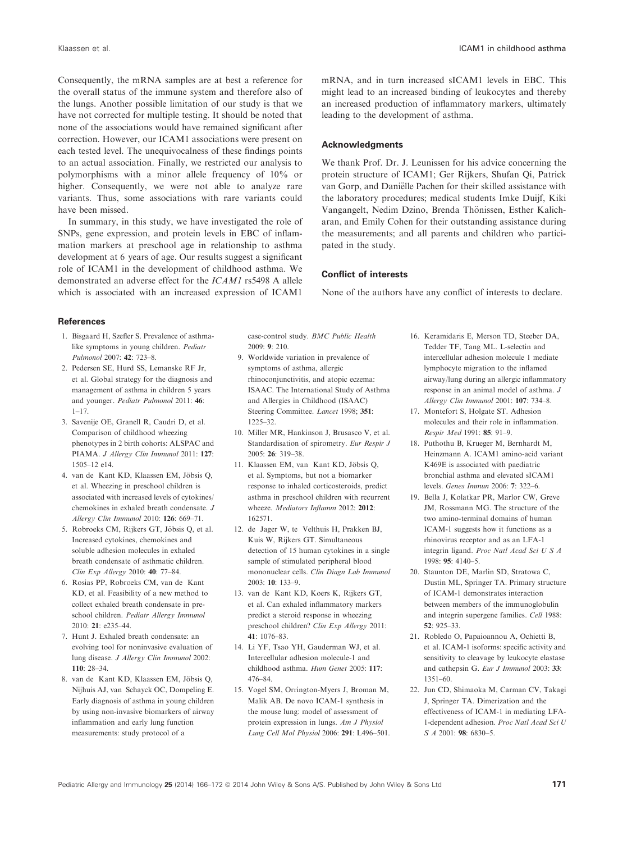Consequently, the mRNA samples are at best a reference for the overall status of the immune system and therefore also of the lungs. Another possible limitation of our study is that we have not corrected for multiple testing. It should be noted that none of the associations would have remained significant after correction. However, our ICAM1 associations were present on each tested level. The unequivocalness of these findings points to an actual association. Finally, we restricted our analysis to polymorphisms with a minor allele frequency of 10% or higher. Consequently, we were not able to analyze rare variants. Thus, some associations with rare variants could have been missed.

In summary, in this study, we have investigated the role of SNPs, gene expression, and protein levels in EBC of inflammation markers at preschool age in relationship to asthma development at 6 years of age. Our results suggest a significant role of ICAM1 in the development of childhood asthma. We demonstrated an adverse effect for the ICAM1 rs5498 A allele which is associated with an increased expression of ICAM1

mRNA, and in turn increased sICAM1 levels in EBC. This might lead to an increased binding of leukocytes and thereby an increased production of inflammatory markers, ultimately leading to the development of asthma.

## **Acknowledaments**

We thank Prof. Dr. J. Leunissen for his advice concerning the protein structure of ICAM1; Ger Rijkers, Shufan Qi, Patrick van Gorp, and Daniëlle Pachen for their skilled assistance with the laboratory procedures; medical students Imke Duijf, Kiki Vangangelt, Nedim Dzino, Brenda Thönissen, Esther Kalicharan, and Emily Cohen for their outstanding assistance during the measurements; and all parents and children who participated in the study.

## Conflict of interests

None of the authors have any conflict of interests to declare.

#### **References**

- 1. Bisgaard H, Szefler S. Prevalence of asthmalike symptoms in young children. Pediatr Pulmonol 2007: 42: 723–8.
- 2. Pedersen SE, Hurd SS, Lemanske RF Jr, et al. Global strategy for the diagnosis and management of asthma in children 5 years and younger. Pediatr Pulmonol 2011: 46:  $1 - 17$
- 3. Savenije OE, Granell R, Caudri D, et al. Comparison of childhood wheezing phenotypes in 2 birth cohorts: ALSPAC and PIAMA. J Allergy Clin Immunol 2011: 127: 1505–12 e14.
- 4. van de Kant KD, Klaassen EM, Jöbsis O, et al. Wheezing in preschool children is associated with increased levels of cytokines/ chemokines in exhaled breath condensate. J Allergy Clin Immunol 2010: 126: 669–71.
- 5. Robroeks CM, Rijkers GT, Jöbsis Q, et al. Increased cytokines, chemokines and soluble adhesion molecules in exhaled breath condensate of asthmatic children. Clin Exp Allergy 2010: 40: 77–84.
- 6. Rosias PP, Robroeks CM, van de Kant KD, et al. Feasibility of a new method to collect exhaled breath condensate in preschool children. Pediatr Allergy Immunol 2010: 21: e235–44.
- 7. Hunt J. Exhaled breath condensate: an evolving tool for noninvasive evaluation of lung disease. J Allergy Clin Immunol 2002:  $110 \cdot 28 - 34$
- 8. van de Kant KD, Klaassen EM, Jöbsis Q, Nijhuis AJ, van Schayck OC, Dompeling E. Early diagnosis of asthma in young children by using non-invasive biomarkers of airway inflammation and early lung function measurements: study protocol of a

case-control study. BMC Public Health 2009: 9: 210.

- 9. Worldwide variation in prevalence of symptoms of asthma, allergic rhinoconjunctivitis, and atopic eczema: ISAAC. The International Study of Asthma and Allergies in Childhood (ISAAC) Steering Committee. Lancet 1998; 351: 1225–32.
- 10. Miller MR, Hankinson J, Brusasco V, et al. Standardisation of spirometry. Eur Respir J 2005: 26: 319–38.
- 11. Klaassen EM, van Kant KD, Jöbsis Q, et al. Symptoms, but not a biomarker response to inhaled corticosteroids, predict asthma in preschool children with recurrent wheeze. Mediators Inflamm 2012: 2012: 162571.
- 12. de Jager W, te Velthuis H, Prakken BJ, Kuis W, Rijkers GT. Simultaneous detection of 15 human cytokines in a single sample of stimulated peripheral blood mononuclear cells. Clin Diagn Lab Immunol 2003: 10: 133–9.
- 13. van de Kant KD, Koers K, Rijkers GT, et al. Can exhaled inflammatory markers predict a steroid response in wheezing preschool children? Clin Exp Allergy 2011: 41: 1076–83.
- 14. Li YF, Tsao YH, Gauderman WJ, et al. Intercellular adhesion molecule-1 and childhood asthma. Hum Genet 2005: 117: 476–84.
- 15. Vogel SM, Orrington-Myers J, Broman M, Malik AB. De novo ICAM-1 synthesis in the mouse lung: model of assessment of protein expression in lungs. Am J Physiol Lung Cell Mol Physiol 2006: 291: L496–501.
- 16. Keramidaris E, Merson TD, Steeber DA, Tedder TF, Tang ML. L-selectin and intercellular adhesion molecule 1 mediate lymphocyte migration to the inflamed airway/lung during an allergic inflammatory response in an animal model of asthma. J Allergy Clin Immunol 2001: 107: 734–8.
- 17. Montefort S, Holgate ST. Adhesion molecules and their role in inflammation. Respir Med 1991: 85: 91–9.
- 18. Puthothu B, Krueger M, Bernhardt M, Heinzmann A. ICAM1 amino-acid variant K469E is associated with paediatric bronchial asthma and elevated sICAM1 levels. Genes Immun 2006: 7: 322–6.
- 19. Bella J, Kolatkar PR, Marlor CW, Greve JM, Rossmann MG. The structure of the two amino-terminal domains of human ICAM-1 suggests how it functions as a rhinovirus receptor and as an LFA-1 integrin ligand. Proc Natl Acad Sci U S A 1998: 95: 4140–5.
- 20. Staunton DE, Marlin SD, Stratowa C, Dustin ML, Springer TA. Primary structure of ICAM-1 demonstrates interaction between members of the immunoglobulin and integrin supergene families. Cell 1988: 52: 925–33.
- 21. Robledo O, Papaioannou A, Ochietti B, et al. ICAM-1 isoforms: specific activity and sensitivity to cleavage by leukocyte elastase and cathepsin G. Eur J Immunol 2003: 33: 1351–60.
- 22. Jun CD, Shimaoka M, Carman CV, Takagi J, Springer TA. Dimerization and the effectiveness of ICAM-1 in mediating LFA-1-dependent adhesion. Proc Natl Acad Sci U S  $A$  2001: **98**: 6830-5.